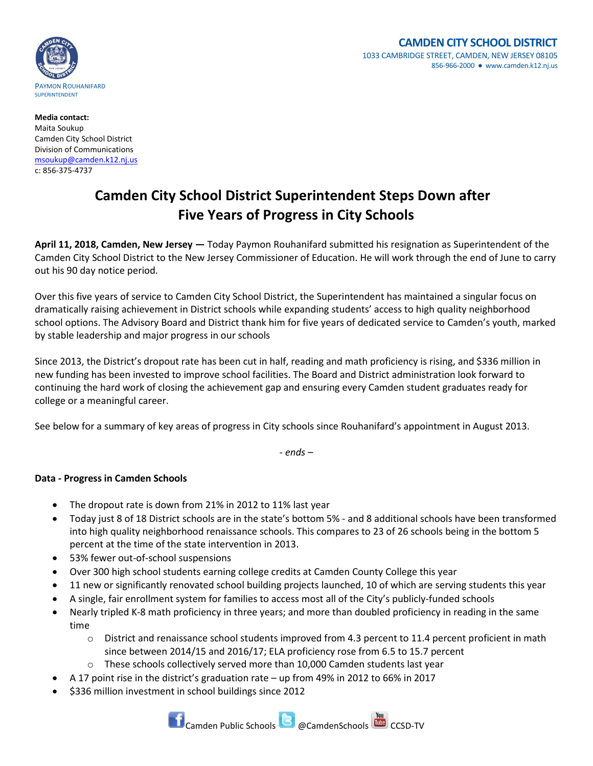

**Media contact:** Maita Soukup Camden City School District Division of Communications [msoukup@camden.k12.nj.us](mailto:msoukup@camden.k12.nj.us) c: 856-375-4737

## **Camden City School District Superintendent Steps Down after Five Years of Progress in City Schools**

**April 11, 2018, Camden, New Jersey —** Today Paymon Rouhanifard submitted his resignation as Superintendent of the Camden City School District to the New Jersey Commissioner of Education. He will work through the end of June to carry out his 90 day notice period.

Over this five years of service to Camden City School District, the Superintendent has maintained a singular focus on dramatically raising achievement in District schools while expanding students' access to high quality neighborhood school options. The Advisory Board and District thank him for five years of dedicated service to Camden's youth, marked by stable leadership and major progress in our schools

Since 2013, the District's dropout rate has been cut in half, reading and math proficiency is rising, and \$336 million in new funding has been invested to improve school facilities. The Board and District administration look forward to continuing the hard work of closing the achievement gap and ensuring every Camden student graduates ready for college or a meaningful career.

See below for a summary of key areas of progress in City schools since Rouhanifard's appointment in August 2013.

*- ends –*

## **Data - Progress in Camden Schools**

- The dropout rate is down from 21% in 2012 to 11% last year
- Today just 8 of 18 District schools are in the state's bottom 5% and 8 additional schools have been transformed into high quality neighborhood renaissance schools. This compares to 23 of 26 schools being in the bottom 5 percent at the time of the state intervention in 2013.
- 53% fewer out-of-school suspensions
- Over 300 high school students earning college credits at Camden County College this year
- 11 new or significantly renovated school building projects launched, 10 of which are serving students this year
- A single, fair enrollment system for families to access most all of the City's publicly-funded schools
- Nearly tripled K-8 math proficiency in three years; and more than doubled proficiency in reading in the same time
	- o District and renaissance school students improved from 4.3 percent to 11.4 percent proficient in math since between 2014/15 and 2016/17; ELA proficiency rose from 6.5 to 15.7 percent
	- o These schools collectively served more than 10,000 Camden students last year
- A 17 point rise in the district's graduation rate up from 49% in 2012 to 66% in 2017
- \$336 million investment in school buildings since 2012